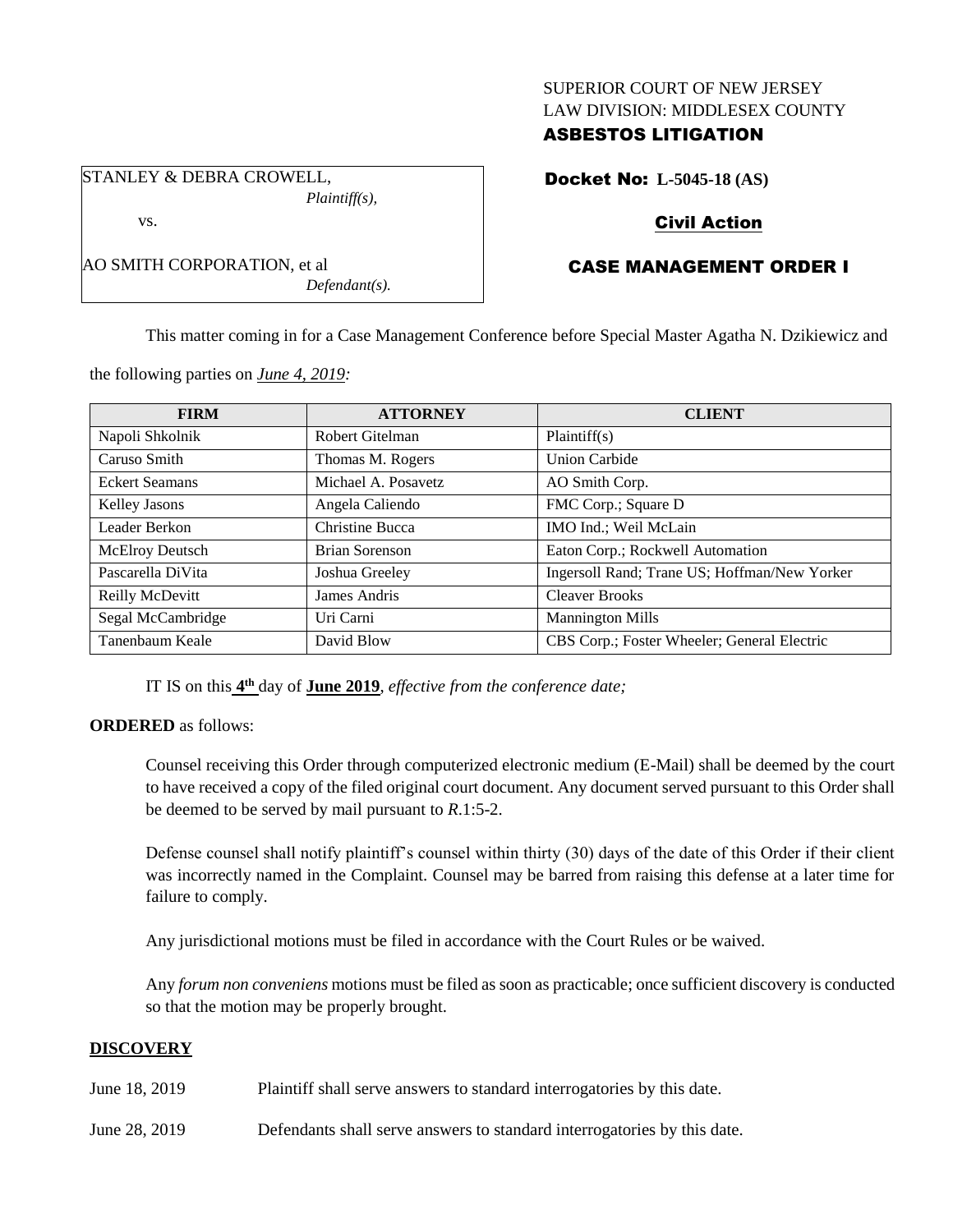## SUPERIOR COURT OF NEW JERSEY LAW DIVISION: MIDDLESEX COUNTY

## ASBESTOS LITIGATION

STANLEY & DEBRA CROWELL, *Plaintiff(s),*

*Defendant(s).*

Docket No: **L-5045-18 (AS)**

## Civil Action

# CASE MANAGEMENT ORDER I

This matter coming in for a Case Management Conference before Special Master Agatha N. Dzikiewicz and

| <b>FIRM</b>           | <b>ATTORNEY</b>     | <b>CLIENT</b>                                |
|-----------------------|---------------------|----------------------------------------------|
| Napoli Shkolnik       | Robert Gitelman     | Plaintiff(s)                                 |
| Caruso Smith          | Thomas M. Rogers    | Union Carbide                                |
| <b>Eckert Seamans</b> | Michael A. Posavetz | AO Smith Corp.                               |
| <b>Kelley Jasons</b>  | Angela Caliendo     | FMC Corp.; Square D                          |
| Leader Berkon         | Christine Bucca     | IMO Ind.; Weil McLain                        |
| McElroy Deutsch       | Brian Sorenson      | Eaton Corp.; Rockwell Automation             |
| Pascarella DiVita     | Joshua Greeley      | Ingersoll Rand; Trane US; Hoffman/New Yorker |
| Reilly McDevitt       | James Andris        | <b>Cleaver Brooks</b>                        |
| Segal McCambridge     | Uri Carni           | <b>Mannington Mills</b>                      |
| Tanenbaum Keale       | David Blow          | CBS Corp.; Foster Wheeler; General Electric  |

the following parties on *June 4, 2019:*

AO SMITH CORPORATION, et al

vs.

IT IS on this **4 th** day of **June 2019**, *effective from the conference date;*

#### **ORDERED** as follows:

Counsel receiving this Order through computerized electronic medium (E-Mail) shall be deemed by the court to have received a copy of the filed original court document. Any document served pursuant to this Order shall be deemed to be served by mail pursuant to *R*.1:5-2.

Defense counsel shall notify plaintiff's counsel within thirty (30) days of the date of this Order if their client was incorrectly named in the Complaint. Counsel may be barred from raising this defense at a later time for failure to comply.

Any jurisdictional motions must be filed in accordance with the Court Rules or be waived.

Any *forum non conveniens* motions must be filed as soon as practicable; once sufficient discovery is conducted so that the motion may be properly brought.

## **DISCOVERY**

- June 18, 2019 Plaintiff shall serve answers to standard interrogatories by this date.
- June 28, 2019 Defendants shall serve answers to standard interrogatories by this date.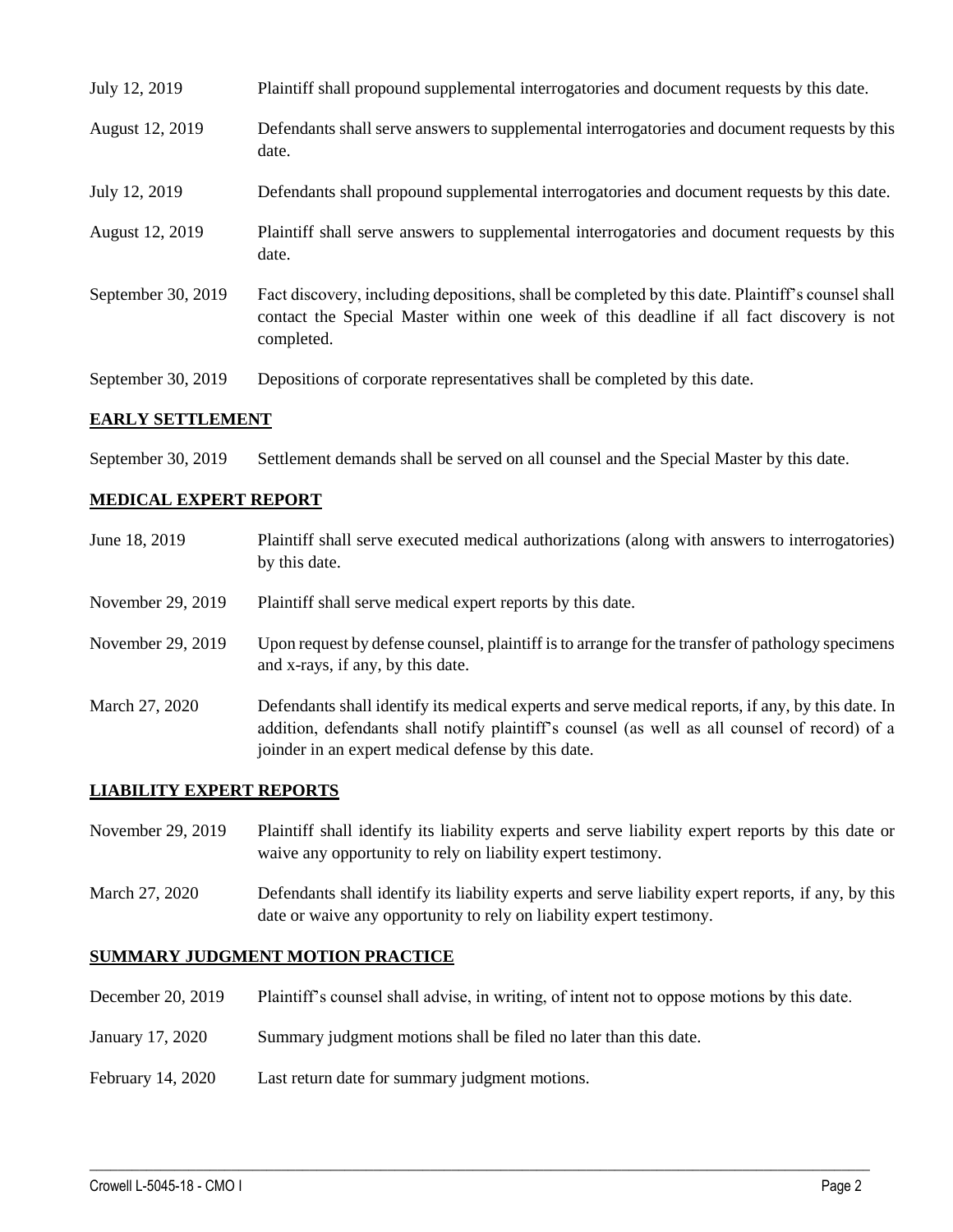| July 12, 2019      | Plaintiff shall propound supplemental interrogatories and document requests by this date.                                                                                                                   |
|--------------------|-------------------------------------------------------------------------------------------------------------------------------------------------------------------------------------------------------------|
| August 12, 2019    | Defendants shall serve answers to supplemental interrogatories and document requests by this<br>date.                                                                                                       |
| July 12, 2019      | Defendants shall propound supplemental interrogatories and document requests by this date.                                                                                                                  |
| August 12, 2019    | Plaintiff shall serve answers to supplemental interrogatories and document requests by this<br>date.                                                                                                        |
| September 30, 2019 | Fact discovery, including depositions, shall be completed by this date. Plaintiff's counsel shall<br>contact the Special Master within one week of this deadline if all fact discovery is not<br>completed. |
| September 30, 2019 | Depositions of corporate representatives shall be completed by this date.                                                                                                                                   |

#### **EARLY SETTLEMENT**

September 30, 2019 Settlement demands shall be served on all counsel and the Special Master by this date.

#### **MEDICAL EXPERT REPORT**

| June 18, 2019     | Plaintiff shall serve executed medical authorizations (along with answers to interrogatories)<br>by this date.                                                                                                                                           |
|-------------------|----------------------------------------------------------------------------------------------------------------------------------------------------------------------------------------------------------------------------------------------------------|
| November 29, 2019 | Plaintiff shall serve medical expert reports by this date.                                                                                                                                                                                               |
| November 29, 2019 | Upon request by defense counsel, plaintiff is to arrange for the transfer of pathology specimens<br>and x-rays, if any, by this date.                                                                                                                    |
| March 27, 2020    | Defendants shall identify its medical experts and serve medical reports, if any, by this date. In<br>addition, defendants shall notify plaintiff's counsel (as well as all counsel of record) of a<br>joinder in an expert medical defense by this date. |

#### **LIABILITY EXPERT REPORTS**

November 29, 2019 Plaintiff shall identify its liability experts and serve liability expert reports by this date or waive any opportunity to rely on liability expert testimony.

March 27, 2020 Defendants shall identify its liability experts and serve liability expert reports, if any, by this date or waive any opportunity to rely on liability expert testimony.

#### **SUMMARY JUDGMENT MOTION PRACTICE**

December 20, 2019 Plaintiff's counsel shall advise, in writing, of intent not to oppose motions by this date.

 $\_$  , and the set of the set of the set of the set of the set of the set of the set of the set of the set of the set of the set of the set of the set of the set of the set of the set of the set of the set of the set of th

- January 17, 2020 Summary judgment motions shall be filed no later than this date.
- February 14, 2020 Last return date for summary judgment motions.